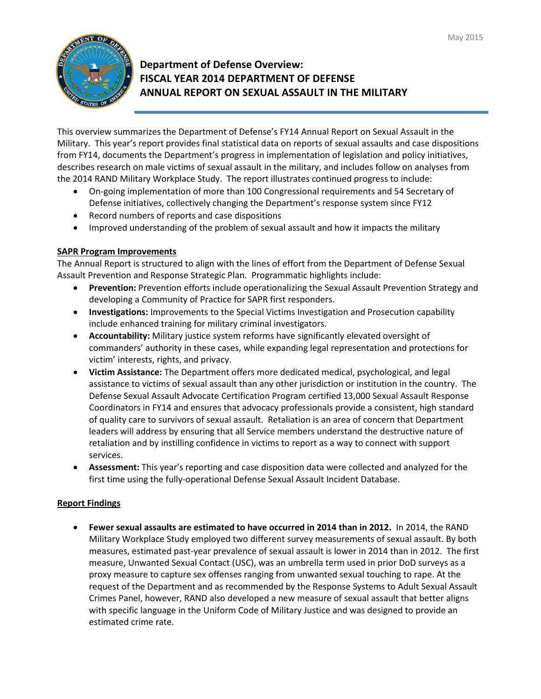

## **Department of Defense Overview: FISCAL YEAR 2014 DEPARTMENT OF DEFENSE ANNUAL REPORT ON SEXUAL ASSAULT IN THE MILITARY**

This overview summarizes the Department of Defense's FY14 Annual Report on Sexual Assault in the Military. This year's report provides final statistical data on reports of sexual assaults and case dispositions from FY14, documents the Department's progress in implementation of legislation and policy initiatives, describes research on male victims of sexual assault in the military, and includes follow on analyses from the 2014 RAND Military Workplace Study. The report illustrates continued progress to include:

- On-going implementation of more than 100 Congressional requirements and 54 Secretary of Defense initiatives, collectively changing the Department's response system since FY12
- Record numbers of reports and case dispositions
- Improved understanding of the problem of sexual assault and how it impacts the military

## **SAPR Program Improvements**

The Annual Report is structured to align with the lines of effort from the Department of Defense Sexual Assault Prevention and Response Strategic Plan. Programmatic highlights include:

- **Prevention:** Prevention efforts include operationalizing the Sexual Assault Prevention Strategy and developing a Community of Practice for SAPR first responders.
- **Investigations:** Improvements to the Special Victims Investigation and Prosecution capability include enhanced training for military criminal investigators.
- **Accountability:** Military justice system reforms have significantly elevated oversight of commanders' authority in these cases, while expanding legal representation and protections for victim' interests, rights, and privacy.
- **Victim Assistance:** The Department offers more dedicated medical, psychological, and legal assistance to victims of sexual assault than any other jurisdiction or institution in the country. The Defense Sexual Assault Advocate Certification Program certified 13,000 Sexual Assault Response Coordinators in FY14 and ensures that advocacy professionals provide a consistent, high standard of quality care to survivors of sexual assault. Retaliation is an area of concern that Department leaders will address by ensuring that all Service members understand the destructive nature of retaliation and by instilling confidence in victims to report as a way to connect with support services.
- **Assessment:** This year's reporting and case disposition data were collected and analyzed for the first time using the fully-operational Defense Sexual Assault Incident Database.

## **Report Findings**

• **Fewer sexual assaults are estimated to have occurred in 2014 than in 2012.** In 2014, the RAND Military Workplace Study employed two different survey measurements of sexual assault. By both measures, estimated past-year prevalence of sexual assault is lower in 2014 than in 2012. The first measure, Unwanted Sexual Contact (USC), was an umbrella term used in prior DoD surveys as a proxy measure to capture sex offenses ranging from unwanted sexual touching to rape. At the request of the Department and as recommended by the Response Systems to Adult Sexual Assault Crimes Panel, however, RAND also developed a new measure of sexual assault that better aligns with specific language in the Uniform Code of Military Justice and was designed to provide an estimated crime rate.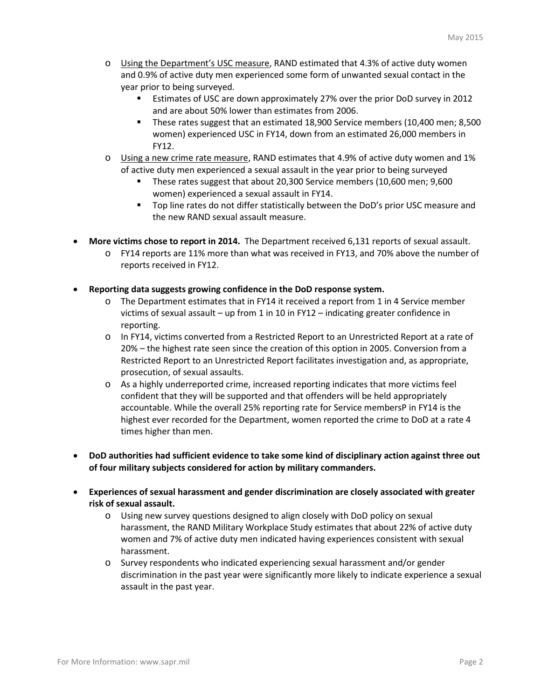- o Using the Department's USC measure, RAND estimated that 4.3% of active duty women and 0.9% of active duty men experienced some form of unwanted sexual contact in the year prior to being surveyed.
	- Estimates of USC are down approximately 27% over the prior DoD survey in 2012 and are about 50% lower than estimates from 2006.
	- **These rates suggest that an estimated 18,900 Service members (10,400 men; 8,500** women) experienced USC in FY14, down from an estimated 26,000 members in FY12.
- o Using a new crime rate measure, RAND estimates that 4.9% of active duty women and 1% of active duty men experienced a sexual assault in the year prior to being surveyed
	- These rates suggest that about 20,300 Service members (10,600 men; 9,600 women) experienced a sexual assault in FY14.
	- Top line rates do not differ statistically between the DoD's prior USC measure and the new RAND sexual assault measure.
- **More victims chose to report in 2014.** The Department received 6,131 reports of sexual assault.
	- o FY14 reports are 11% more than what was received in FY13, and 70% above the number of reports received in FY12.
- **Reporting data suggests growing confidence in the DoD response system.** 
	- o The Department estimates that in FY14 it received a report from 1 in 4 Service member victims of sexual assault – up from 1 in 10 in FY12 – indicating greater confidence in reporting.
	- o In FY14, victims converted from a Restricted Report to an Unrestricted Report at a rate of 20% – the highest rate seen since the creation of this option in 2005. Conversion from a Restricted Report to an Unrestricted Report facilitates investigation and, as appropriate, prosecution, of sexual assaults.
	- o As a highly underreported crime, increased reporting indicates that more victims feel confident that they will be supported and that offenders will be held appropriately accountable. While the overall 25% reporting rate for Service membersP in FY14 is the highest ever recorded for the Department, women reported the crime to DoD at a rate 4 times higher than men.
- **DoD authorities had sufficient evidence to take some kind of disciplinary action against three out of four military subjects considered for action by military commanders.**
- **Experiences of sexual harassment and gender discrimination are closely associated with greater risk of sexual assault.**
	- o Using new survey questions designed to align closely with DoD policy on sexual harassment, the RAND Military Workplace Study estimates that about 22% of active duty women and 7% of active duty men indicated having experiences consistent with sexual harassment.
	- o Survey respondents who indicated experiencing sexual harassment and/or gender discrimination in the past year were significantly more likely to indicate experience a sexual assault in the past year.